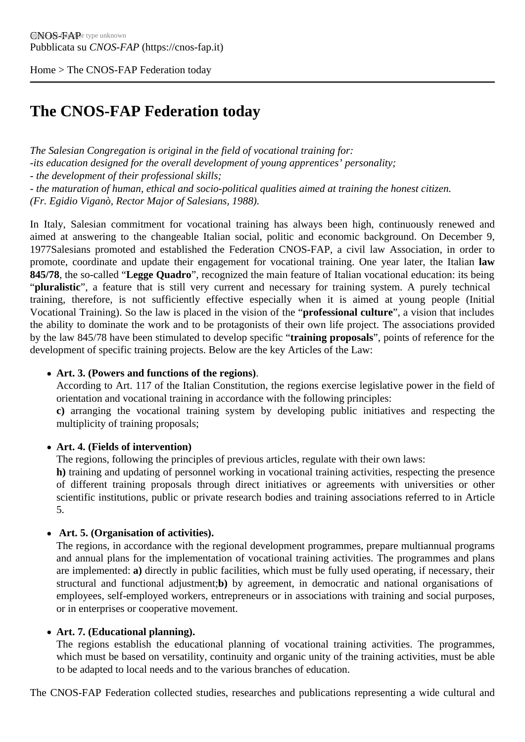Home > The CNOS-FAP Federation today

## [The](https://cnos-fap.it/) CNOS-FAP Federation today

The Salesian Congregation is original in the field of vocational training for:

-its education designed for the overall development of young apprentices' personality;

- the development of their professional skills;

- the maturation of human, ethical and socio-political qualities aimed at training the honest citizen.

(Fr. Egidio Viganò, Rector Major of Salesians, 1988).

In Italy, Salesian commitment for vocational training has always been high, continuously renewed and aimed at answering to the changeable Italian social, politic and economic background. On December 9, 1977Salesians promoted and established the Federation CNOS-FAP, a civil law Association, in order to promote, coordinate and update their engagement for vocational training. One year later, the witalian 845/78 the so-called Legge Quadro", recognized the main feature of Italian vocational education: its being "pluralistic ", a feature that is still very current and necessary for training system. A purely technical training, therefore, is not sufficiently effective especially when it is aimed at young people (Initial Vocational Training). So the law is placed in the vision of the fessional culture', a vision that includes the ability to dominate the work and to be protagonists of their own life project. The associations provided by the law 845/78 have been stimulated to develop spetritining proposals", points of reference for the development of specific training projects. Below are the key Articles of the Law:

• Art. 3. (Powers and functions of the regions).

According to Art. 117 of the Italian Constitution, the regions exercise legislative power in the field of orientation and vocational training in accordance with the following principles:

c) arranging the vocational training system by developing public initiatives and respecting the multiplicity of training proposals;

Art. 4. (Fields of intervention)

The regions, following the principles of previous articles, regulate with their own laws: h) training and updating of personnel working in vocational training activities, respecting the presence of different training proposals through direct initiatives or agreements with universities or other scientific institutions, public or private research bodies and training associations referred to in Article 5.

• Art. 5. (Organisation of activities).

The regions, in accordance with the regional development programmes, prepare multiannual programs and annual plans for the implementation of vocational training activities. The programmes and plans are implementeda) directly in public facilities, which must be fully used operating, if necessary, their structural and functional adjustment; by agreement, in democratic and national organisations of employees, self-employed workers, entrepreneurs or in associations with training and social purposes, or in enterprises or cooperative movement.

Art. 7. (Educational planning).

The regions establish the educational planning of vocational training activities. The programmes, which must be based on versatility, continuity and organic unity of the training activities, must be able to be adapted to local needs and to the various branches of education.

The CNOS-FAP Federation collected studies, researches and publications representing a wide cultural and